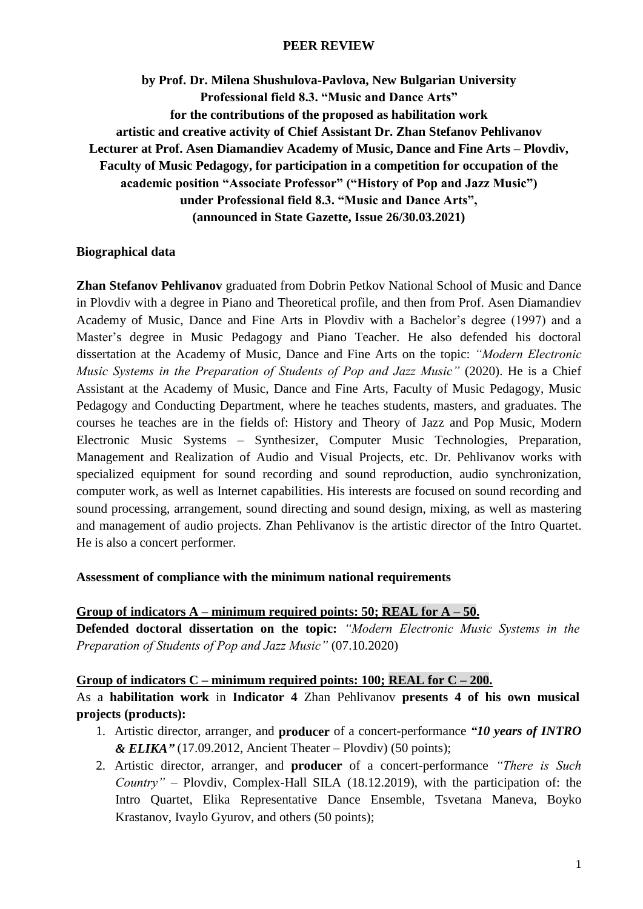#### **PEER REVIEW**

**by Prof. Dr. Milena Shushulova-Pavlova, New Bulgarian University Professional field 8.3. "Music and Dance Arts" for the contributions of the proposed as habilitation work artistic and creative activity of Chief Assistant Dr. Zhan Stefanov Pehlivanov Lecturer at Prof. Asen Diamandiev Academy of Music, Dance and Fine Arts – Plovdiv, Faculty of Music Pedagogy, for participation in a competition for occupation of the academic position "Associate Professor" ("History of Pop and Jazz Music") under Professional field 8.3. "Music and Dance Arts", (announced in State Gazette, Issue 26/30.03.2021)**

#### **Biographical data**

**Zhan Stefanov Pehlivanov** graduated from Dobrin Petkov National School of Music and Dance in Plovdiv with a degree in Piano and Theoretical profile, and then from Prof. Asen Diamandiev Academy of Music, Dance and Fine Arts in Plovdiv with a Bachelor's degree (1997) and a Master's degree in Music Pedagogy and Piano Teacher. He also defended his doctoral dissertation at the Academy of Music, Dance and Fine Arts on the topic: *"Modern Electronic Music Systems in the Preparation of Students of Pop and Jazz Music"* (2020). He is a Chief Assistant at the Academy of Music, Dance and Fine Arts, Faculty of Music Pedagogy, Music Pedagogy and Conducting Department, where he teaches students, masters, and graduates. The courses he teaches are in the fields of: History and Theory of Jazz and Pop Music, Modern Electronic Music Systems – Synthesizer, Computer Music Technologies, Preparation, Management and Realization of Audio and Visual Projects, etc. Dr. Pehlivanov works with specialized equipment for sound recording and sound reproduction, audio synchronization, computer work, as well as Internet capabilities. His interests are focused on sound recording and sound processing, arrangement, sound directing and sound design, mixing, as well as mastering and management of audio projects. Zhan Pehlivanov is the artistic director of the Intro Quartet. He is also a concert performer.

#### **Assessment of compliance with the minimum national requirements**

#### **Group of indicators A – minimum required points: 50; REAL for A – 50.**

**Defended doctoral dissertation on the topic:** *"Modern Electronic Music Systems in the Preparation of Students of Pop and Jazz Music"* (07.10.2020)

#### **Group of indicators C – minimum required points: 100; REAL for C – 200.**

As a **habilitation work** in **Indicator 4** Zhan Pehlivanov **presents 4 of his own musical projects (products):**

- 1. Artistic director, arranger, and **producer** of a concert-performance *"10 years of INTRO & ELIKA"* (17.09.2012, Ancient Theater – Plovdiv) (50 points);
- 2. Artistic director, arranger, and **producer** of a concert-performance *"There is Such Country"* – Plovdiv, Complex-Hall SILA (18.12.2019), with the participation of: the Intro Quartet, Elika Representative Dance Ensemble, Tsvetana Maneva, Boyko Krastanov, Ivaylo Gyurov, and others (50 points);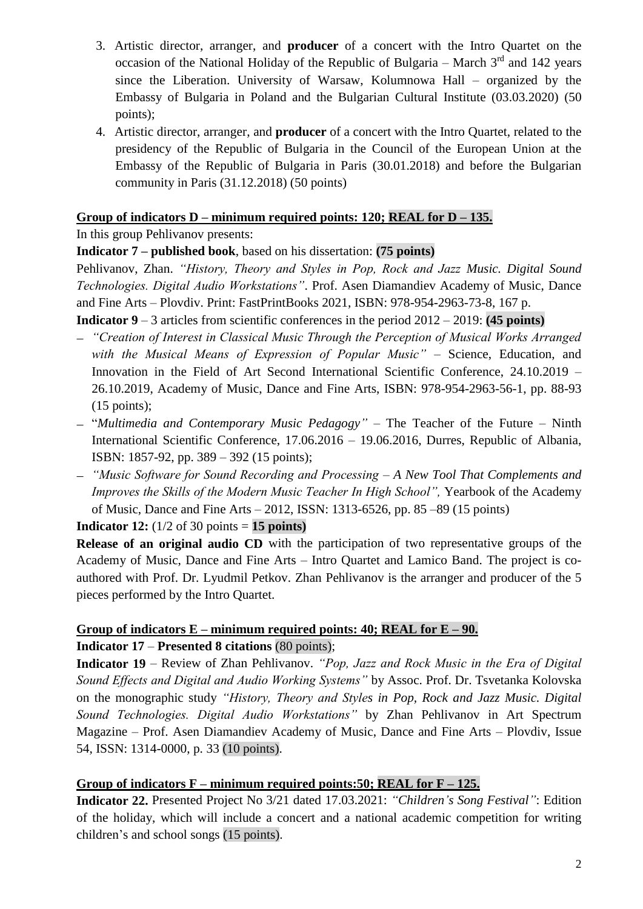- 3. Artistic director, arranger, and **producer** of a concert with the Intro Quartet on the occasion of the National Holiday of the Republic of Bulgaria – March  $3<sup>rd</sup>$  and 142 years since the Liberation. University of Warsaw, Kolumnowa Hall – organized by the Embassy of Bulgaria in Poland and the Bulgarian Cultural Institute (03.03.2020) (50 points);
- 4. Artistic director, arranger, and **producer** of a concert with the Intro Quartet, related to the presidency of the Republic of Bulgaria in the Council of the European Union at the Embassy of the Republic of Bulgaria in Paris (30.01.2018) and before the Bulgarian community in Paris (31.12.2018) (50 points)

### **Group of indicators D – minimum required points: 120; REAL for D – 135.**

In this group Pehlivanov presents:

### **Indicator 7 – published book**, based on his dissertation: **(75 points)**

Pehlivanov, Zhan. *"History, Theory and Styles in Pop, Rock and Jazz Music. Digital Sound Technologies. Digital Audio Workstations"*. Prof. Asen Diamandiev Academy of Music, Dance and Fine Arts – Plovdiv. Print: FastPrintBooks 2021, ISBN: 978-954-2963-73-8, 167 p.

**Indicator 9** – 3 articles from scientific conferences in the period 2012 – 2019: **(45 points)**

- *"Creation of Interest in Classical Music Through the Perception of Musical Works Arranged with the Musical Means of Expression of Popular Music"* – Science, Education, and Innovation in the Field of Art Second International Scientific Conference, 24.10.2019 – 26.10.2019, Academy of Music, Dance and Fine Arts, ISBN: 978-954-2963-56-1, pp. 88-93  $(15 \text{ points})$ ;
- "*Multimedia and Contemporary Music Pedagogy"* The Teacher of the Future Ninth International Scientific Conference, 17.06.2016 – 19.06.2016, Durres, Republic of Albania, ISBN: 1857-92, pp. 389 – 392 (15 points);
- *"Music Software for Sound Recording and Processing – A New Tool That Complements and Improves the Skills of the Modern Music Teacher In High School"*, Yearbook of the Academy of Music, Dance and Fine Arts – 2012, ISSN: 1313-6526, pp. 85 –89 (15 points)

**Indicator 12:**  $(1/2 \text{ of } 30 \text{ points} = 15 \text{ points})$ 

**Release of an original audio CD** with the participation of two representative groups of the Academy of Music, Dance and Fine Arts – Intro Quartet and Lamico Band. The project is coauthored with Prof. Dr. Lyudmil Petkov. Zhan Pehlivanov is the arranger and producer of the 5 pieces performed by the Intro Quartet.

# Group of indicators  $E$  – minimum required points: 40; REAL for  $E - 90$ . **Indicator 17** – **Presented 8 citations** (80 points);

**Indicator 19** – Review of Zhan Pehlivanov. *"Pop, Jazz and Rock Music in the Era of Digital Sound Effects and Digital and Audio Working Systems"* by Assoc. Prof. Dr. Tsvetanka Kolovska on the monographic study *"History, Theory and Styles in Pop, Rock and Jazz Music. Digital Sound Technologies. Digital Audio Workstations"* by Zhan Pehlivanov in Art Spectrum Magazine – Prof. Asen Diamandiev Academy of Music, Dance and Fine Arts – Plovdiv, Issue 54, ISSN: 1314-0000, p. 33 (10 points).

### **Group of indicators F – minimum required points:50; REAL for F – 125.**

**Indicator 22.** Presented Project No 3/21 dated 17.03.2021: *"Children's Song Festival"*: Edition of the holiday, which will include a concert and a national academic competition for writing children's and school songs (15 points).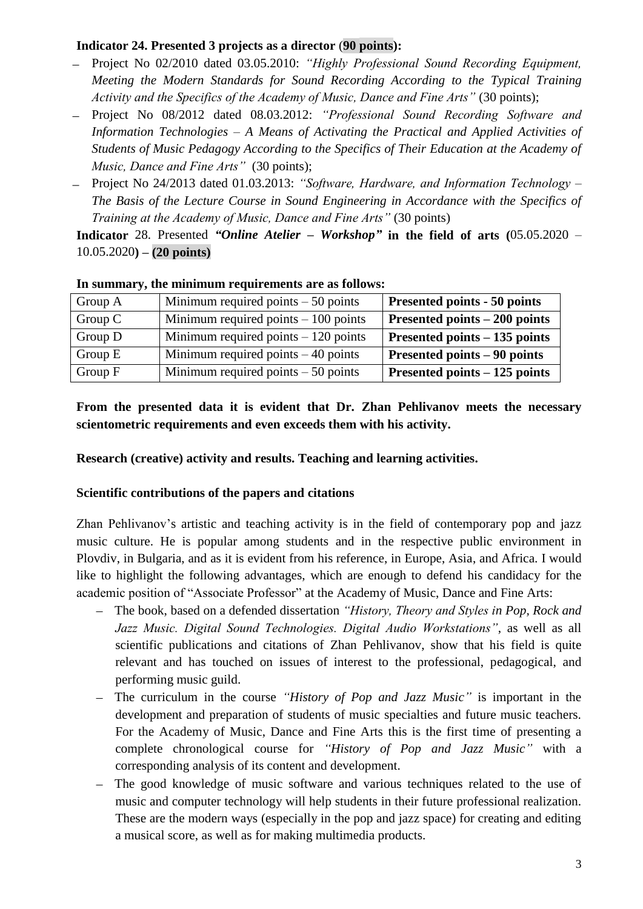### **Indicator 24. Presented 3 projects as a director** (**90 points):**

- Project No 02/2010 dated 03.05.2010: *"Highly Professional Sound Recording Equipment, Meeting the Modern Standards for Sound Recording According to the Typical Training Activity and the Specifics of the Academy of Music, Dance and Fine Arts"* (30 points);
- Project No 08/2012 dated 08.03.2012: *"Professional Sound Recording Software and Information Technologies – A Means of Activating the Practical and Applied Activities of Students of Music Pedagogy According to the Specifics of Their Education at the Academy of Music, Dance and Fine Arts"* (30 points);
- Project No 24/2013 dated 01.03.2013: *"Software, Hardware, and Information Technology – The Basis of the Lecture Course in Sound Engineering in Accordance with the Specifics of Training at the Academy of Music, Dance and Fine Arts"* (30 points)

**Indicator** 28. Presented *"Online Atelier – Workshop"* **in the field of arts (**05.05.2020 – 10.05.2020**) – (20 points)**

| Group A   | Minimum required points $-50$ points  | Presented points - 50 points   |
|-----------|---------------------------------------|--------------------------------|
| Group $C$ | Minimum required points $-100$ points | Presented points $-200$ points |
| Group D   | Minimum required points $-120$ points | Presented points $-135$ points |
| Group $E$ | Minimum required points $-40$ points  | Presented points – 90 points   |
| Group $F$ | Minimum required points $-50$ points  | Presented points – 125 points  |

#### **In summary, the minimum requirements are as follows:**

**From the presented data it is evident that Dr. Zhan Pehlivanov meets the necessary scientometric requirements and even exceeds them with his activity.**

**Research (creative) activity and results. Teaching and learning activities.**

## **Scientific contributions of the papers and citations**

Zhan Pehlivanov's artistic and teaching activity is in the field of contemporary pop and jazz music culture. He is popular among students and in the respective public environment in Plovdiv, in Bulgaria, and as it is evident from his reference, in Europe, Asia, and Africa. I would like to highlight the following advantages, which are enough to defend his candidacy for the academic position of "Associate Professor" at the Academy of Music, Dance and Fine Arts:

- The book, based on a defended dissertation *"History, Theory and Styles in Pop, Rock and Jazz Music. Digital Sound Technologies. Digital Audio Workstations"*, as well as all scientific publications and citations of Zhan Pehlivanov, show that his field is quite relevant and has touched on issues of interest to the professional, pedagogical, and performing music guild.
- The curriculum in the course *"History of Pop and Jazz Music"* is important in the development and preparation of students of music specialties and future music teachers. For the Academy of Music, Dance and Fine Arts this is the first time of presenting a complete chronological course for *"History of Pop and Jazz Music"* with a corresponding analysis of its content and development.
- The good knowledge of music software and various techniques related to the use of music and computer technology will help students in their future professional realization. These are the modern ways (especially in the pop and jazz space) for creating and editing a musical score, as well as for making multimedia products.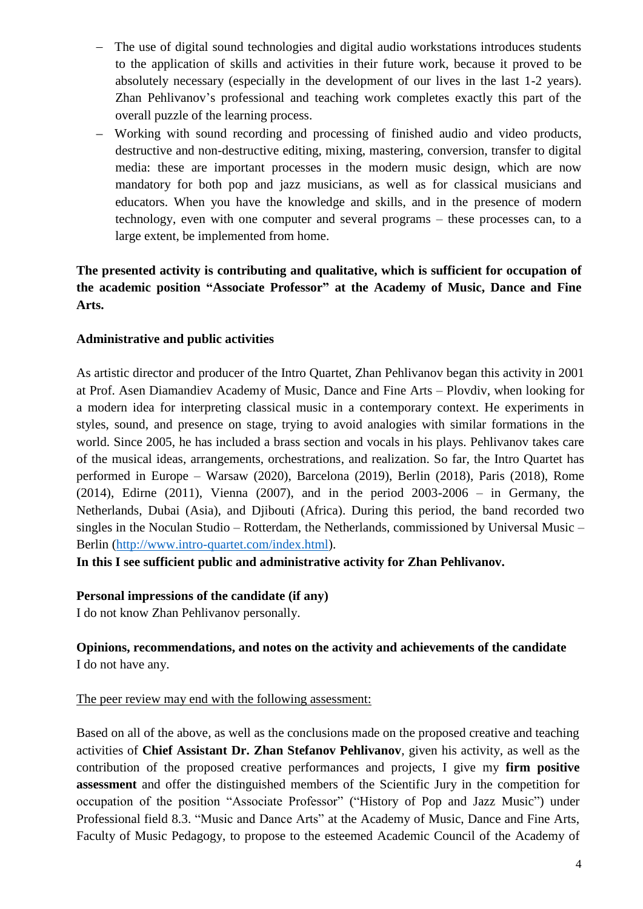- The use of digital sound technologies and digital audio workstations introduces students to the application of skills and activities in their future work, because it proved to be absolutely necessary (especially in the development of our lives in the last 1-2 years). Zhan Pehlivanov's professional and teaching work completes exactly this part of the overall puzzle of the learning process.
- Working with sound recording and processing of finished audio and video products, destructive and non-destructive editing, mixing, mastering, conversion, transfer to digital media: these are important processes in the modern music design, which are now mandatory for both pop and jazz musicians, as well as for classical musicians and educators. When you have the knowledge and skills, and in the presence of modern technology, even with one computer and several programs – these processes can, to a large extent, be implemented from home.

## **The presented activity is contributing and qualitative, which is sufficient for occupation of the academic position "Associate Professor" at the Academy of Music, Dance and Fine Arts.**

### **Administrative and public activities**

As artistic director and producer of the Intro Quartet, Zhan Pehlivanov began this activity in 2001 at Prof. Asen Diamandiev Academy of Music, Dance and Fine Arts – Plovdiv, when looking for a modern idea for interpreting classical music in a contemporary context. He experiments in styles, sound, and presence on stage, trying to avoid analogies with similar formations in the world. Since 2005, he has included a brass section and vocals in his plays. Pehlivanov takes care of the musical ideas, arrangements, orchestrations, and realization. So far, the Intro Quartet has performed in Europe – Warsaw (2020), Barcelona (2019), Berlin (2018), Paris (2018), Rome (2014), Edirne (2011), Vienna (2007), and in the period 2003-2006 – in Germany, the Netherlands, Dubai (Asia), and Djibouti (Africa). During this period, the band recorded two singles in the Noculan Studio – Rotterdam, the Netherlands, commissioned by Universal Music – Berlin [\(http://www.intro-quartet.com/index.html\)](http://www.intro-quartet.com/index.html).

**In this I see sufficient public and administrative activity for Zhan Pehlivanov.**

**Personal impressions of the candidate (if any)**

I do not know Zhan Pehlivanov personally.

## **Opinions, recommendations, and notes on the activity and achievements of the candidate** I do not have any.

### The peer review may end with the following assessment:

Based on all of the above, as well as the conclusions made on the proposed creative and teaching activities of **Chief Assistant Dr. Zhan Stefanov Pehlivanov**, given his activity, as well as the contribution of the proposed creative performances and projects, I give my **firm positive assessment** and offer the distinguished members of the Scientific Jury in the competition for occupation of the position "Associate Professor" ("History of Pop and Jazz Music") under Professional field 8.3. "Music and Dance Arts" at the Academy of Music, Dance and Fine Arts, Faculty of Music Pedagogy, to propose to the esteemed Academic Council of the Academy of